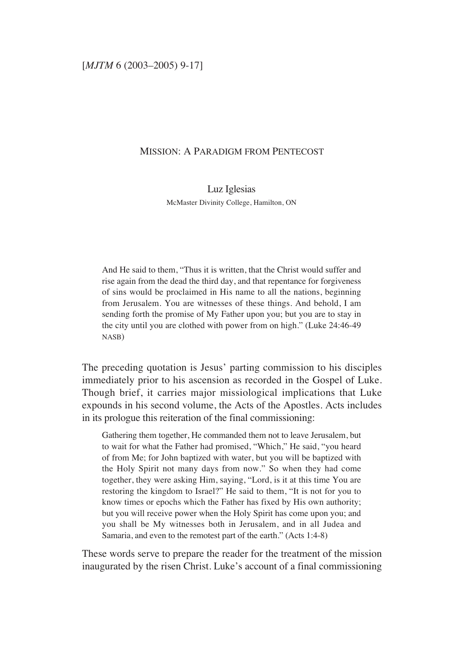## MISSION: A PARADIGM FROM PENTECOST

Luz Iglesias McMaster Divinity College, Hamilton, ON

And He said to them, "Thus it is written, that the Christ would suffer and rise again from the dead the third day, and that repentance for forgiveness of sins would be proclaimed in His name to all the nations, beginning from Jerusalem. You are witnesses of these things. And behold, I am sending forth the promise of My Father upon you; but you are to stay in the city until you are clothed with power from on high." (Luke 24:46-49 NASB)

The preceding quotation is Jesus' parting commission to his disciples immediately prior to his ascension as recorded in the Gospel of Luke. Though brief, it carries major missiological implications that Luke expounds in his second volume, the Acts of the Apostles. Acts includes in its prologue this reiteration of the final commissioning:

Gathering them together, He commanded them not to leave Jerusalem, but to wait for what the Father had promised, "Which," He said, "you heard of from Me; for John baptized with water, but you will be baptized with the Holy Spirit not many days from now." So when they had come together, they were asking Him, saying, "Lord, is it at this time You are restoring the kingdom to Israel?" He said to them, "It is not for you to know times or epochs which the Father has fixed by His own authority; but you will receive power when the Holy Spirit has come upon you; and you shall be My witnesses both in Jerusalem, and in all Judea and Samaria, and even to the remotest part of the earth." (Acts 1:4-8)

These words serve to prepare the reader for the treatment of the mission inaugurated by the risen Christ. Luke's account of a final commissioning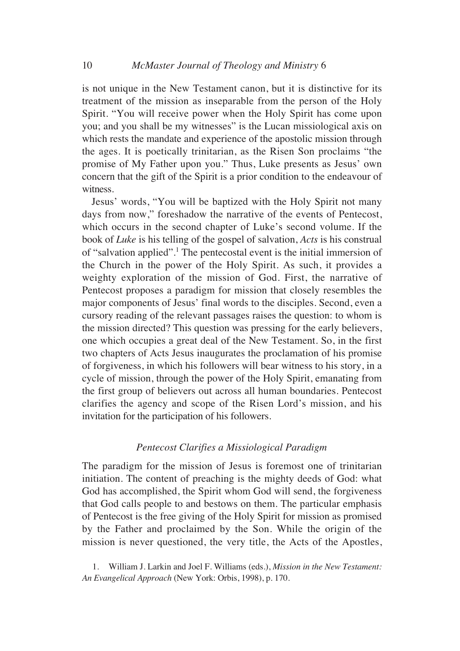is not unique in the New Testament canon, but it is distinctive for its treatment of the mission as inseparable from the person of the Holy Spirit. "You will receive power when the Holy Spirit has come upon you; and you shall be my witnesses" is the Lucan missiological axis on which rests the mandate and experience of the apostolic mission through the ages. It is poetically trinitarian, as the Risen Son proclaims "the promise of My Father upon you." Thus, Luke presents as Jesus' own concern that the gift of the Spirit is a prior condition to the endeavour of witness.

Jesus' words, "You will be baptized with the Holy Spirit not many days from now," foreshadow the narrative of the events of Pentecost, which occurs in the second chapter of Luke's second volume. If the book of *Luke* is his telling of the gospel of salvation, *Acts* is his construal of "salvation applied".<sup>1</sup> The pentecostal event is the initial immersion of the Church in the power of the Holy Spirit. As such, it provides a weighty exploration of the mission of God. First, the narrative of Pentecost proposes a paradigm for mission that closely resembles the major components of Jesus' final words to the disciples. Second, even a cursory reading of the relevant passages raises the question: to whom is the mission directed? This question was pressing for the early believers, one which occupies a great deal of the New Testament. So, in the first two chapters of Acts Jesus inaugurates the proclamation of his promise of forgiveness, in which his followers will bear witness to his story, in a cycle of mission, through the power of the Holy Spirit, emanating from the first group of believers out across all human boundaries. Pentecost clarifies the agency and scope of the Risen Lord's mission, and his invitation for the participation of his followers.

## *Pentecost Clarifies a Missiological Paradigm*

The paradigm for the mission of Jesus is foremost one of trinitarian initiation. The content of preaching is the mighty deeds of God: what God has accomplished, the Spirit whom God will send, the forgiveness that God calls people to and bestows on them. The particular emphasis of Pentecost is the free giving of the Holy Spirit for mission as promised by the Father and proclaimed by the Son. While the origin of the mission is never questioned, the very title, the Acts of the Apostles,

1. William J. Larkin and Joel F. Williams (eds.), *Mission in the New Testament: An Evangelical Approach* (New York: Orbis, 1998), p. 170.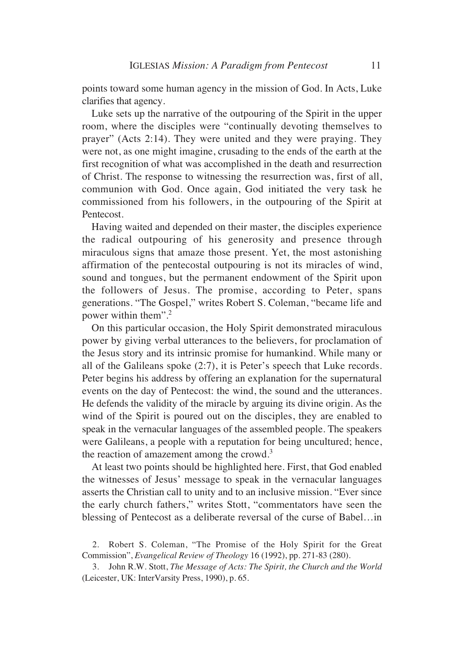points toward some human agency in the mission of God. In Acts, Luke clarifies that agency.

Luke sets up the narrative of the outpouring of the Spirit in the upper room, where the disciples were "continually devoting themselves to prayer" (Acts 2:14). They were united and they were praying. They were not, as one might imagine, crusading to the ends of the earth at the first recognition of what was accomplished in the death and resurrection of Christ. The response to witnessing the resurrection was, first of all, communion with God. Once again, God initiated the very task he commissioned from his followers, in the outpouring of the Spirit at Pentecost.

Having waited and depended on their master, the disciples experience the radical outpouring of his generosity and presence through miraculous signs that amaze those present. Yet, the most astonishing affirmation of the pentecostal outpouring is not its miracles of wind, sound and tongues, but the permanent endowment of the Spirit upon the followers of Jesus. The promise, according to Peter, spans generations. "The Gospel," writes Robert S. Coleman, "became life and power within them".2

On this particular occasion, the Holy Spirit demonstrated miraculous power by giving verbal utterances to the believers, for proclamation of the Jesus story and its intrinsic promise for humankind. While many or all of the Galileans spoke (2:7), it is Peter's speech that Luke records. Peter begins his address by offering an explanation for the supernatural events on the day of Pentecost: the wind, the sound and the utterances. He defends the validity of the miracle by arguing its divine origin. As the wind of the Spirit is poured out on the disciples, they are enabled to speak in the vernacular languages of the assembled people. The speakers were Galileans, a people with a reputation for being uncultured; hence, the reaction of amazement among the crowd.<sup>3</sup>

At least two points should be highlighted here. First, that God enabled the witnesses of Jesus' message to speak in the vernacular languages asserts the Christian call to unity and to an inclusive mission. "Ever since the early church fathers," writes Stott, "commentators have seen the blessing of Pentecost as a deliberate reversal of the curse of Babel…in

<sup>2.</sup> Robert S. Coleman, "The Promise of the Holy Spirit for the Great Commission", *Evangelical Review of Theology* 16 (1992), pp. 271-83 (280).

<sup>3.</sup> John R.W. Stott, *The Message of Acts: The Spirit, the Church and the World* (Leicester, UK: InterVarsity Press, 1990), p. 65.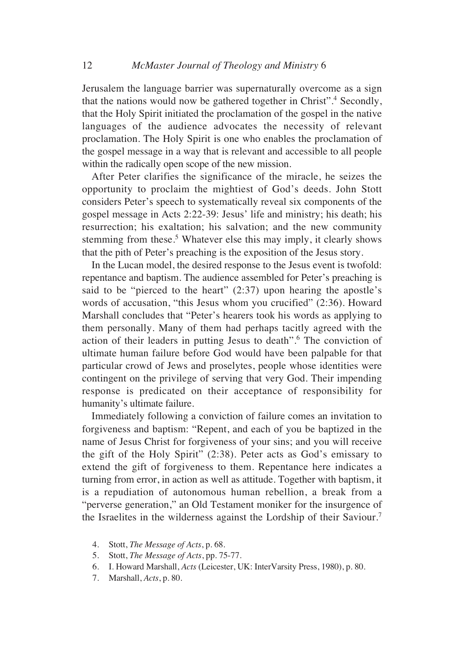Jerusalem the language barrier was supernaturally overcome as a sign that the nations would now be gathered together in Christ".4 Secondly, that the Holy Spirit initiated the proclamation of the gospel in the native languages of the audience advocates the necessity of relevant proclamation. The Holy Spirit is one who enables the proclamation of the gospel message in a way that is relevant and accessible to all people within the radically open scope of the new mission.

After Peter clarifies the significance of the miracle, he seizes the opportunity to proclaim the mightiest of God's deeds. John Stott considers Peter's speech to systematically reveal six components of the gospel message in Acts 2:22-39: Jesus' life and ministry; his death; his resurrection; his exaltation; his salvation; and the new community stemming from these.<sup>5</sup> Whatever else this may imply, it clearly shows that the pith of Peter's preaching is the exposition of the Jesus story.

In the Lucan model, the desired response to the Jesus event is twofold: repentance and baptism. The audience assembled for Peter's preaching is said to be "pierced to the heart" (2:37) upon hearing the apostle's words of accusation, "this Jesus whom you crucified" (2:36). Howard Marshall concludes that "Peter's hearers took his words as applying to them personally. Many of them had perhaps tacitly agreed with the action of their leaders in putting Jesus to death".6 The conviction of ultimate human failure before God would have been palpable for that particular crowd of Jews and proselytes, people whose identities were contingent on the privilege of serving that very God. Their impending response is predicated on their acceptance of responsibility for humanity's ultimate failure.

Immediately following a conviction of failure comes an invitation to forgiveness and baptism: "Repent, and each of you be baptized in the name of Jesus Christ for forgiveness of your sins; and you will receive the gift of the Holy Spirit" (2:38). Peter acts as God's emissary to extend the gift of forgiveness to them. Repentance here indicates a turning from error, in action as well as attitude. Together with baptism, it is a repudiation of autonomous human rebellion, a break from a "perverse generation," an Old Testament moniker for the insurgence of the Israelites in the wilderness against the Lordship of their Saviour.7

- 4. Stott, *The Message of Acts*, p. 68.
- 5. Stott, *The Message of Acts*, pp. 75-77.
- 6. I. Howard Marshall, *Acts* (Leicester, UK: InterVarsity Press, 1980), p. 80.
- 7. Marshall, *Acts*, p. 80.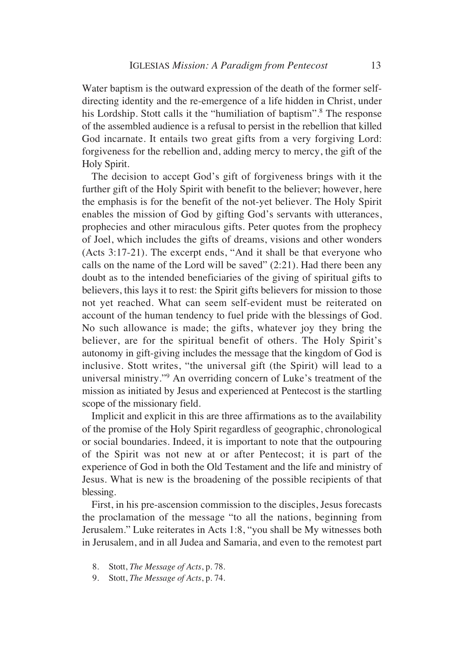Water baptism is the outward expression of the death of the former selfdirecting identity and the re-emergence of a life hidden in Christ, under his Lordship. Stott calls it the "humiliation of baptism".<sup>8</sup> The response of the assembled audience is a refusal to persist in the rebellion that killed God incarnate. It entails two great gifts from a very forgiving Lord: forgiveness for the rebellion and, adding mercy to mercy, the gift of the Holy Spirit.

The decision to accept God's gift of forgiveness brings with it the further gift of the Holy Spirit with benefit to the believer; however, here the emphasis is for the benefit of the not-yet believer. The Holy Spirit enables the mission of God by gifting God's servants with utterances, prophecies and other miraculous gifts. Peter quotes from the prophecy of Joel, which includes the gifts of dreams, visions and other wonders (Acts 3:17-21). The excerpt ends, "And it shall be that everyone who calls on the name of the Lord will be saved" (2:21). Had there been any doubt as to the intended beneficiaries of the giving of spiritual gifts to believers, this lays it to rest: the Spirit gifts believers for mission to those not yet reached. What can seem self-evident must be reiterated on account of the human tendency to fuel pride with the blessings of God. No such allowance is made; the gifts, whatever joy they bring the believer, are for the spiritual benefit of others. The Holy Spirit's autonomy in gift-giving includes the message that the kingdom of God is inclusive. Stott writes, "the universal gift (the Spirit) will lead to a universal ministry."9 An overriding concern of Luke's treatment of the mission as initiated by Jesus and experienced at Pentecost is the startling scope of the missionary field.

Implicit and explicit in this are three affirmations as to the availability of the promise of the Holy Spirit regardless of geographic, chronological or social boundaries. Indeed, it is important to note that the outpouring of the Spirit was not new at or after Pentecost; it is part of the experience of God in both the Old Testament and the life and ministry of Jesus. What is new is the broadening of the possible recipients of that blessing.

First, in his pre-ascension commission to the disciples, Jesus forecasts the proclamation of the message "to all the nations, beginning from Jerusalem." Luke reiterates in Acts 1:8, "you shall be My witnesses both in Jerusalem, and in all Judea and Samaria, and even to the remotest part

- 8. Stott, *The Message of Acts*, p. 78.
- 9. Stott, *The Message of Acts*, p. 74.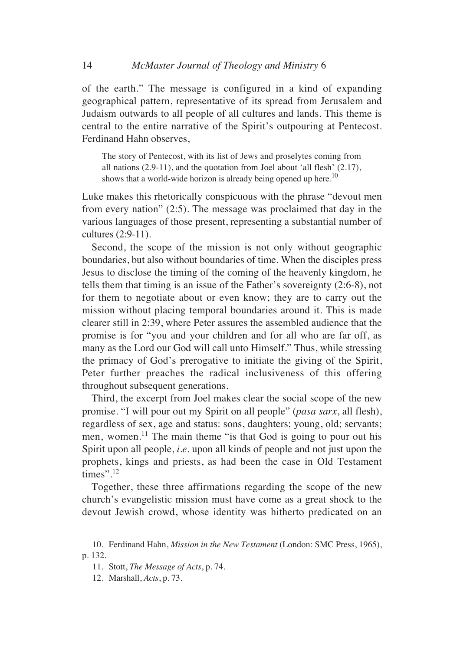of the earth." The message is configured in a kind of expanding geographical pattern, representative of its spread from Jerusalem and Judaism outwards to all people of all cultures and lands. This theme is central to the entire narrative of the Spirit's outpouring at Pentecost. Ferdinand Hahn observes,

The story of Pentecost, with its list of Jews and proselytes coming from all nations (2.9-11), and the quotation from Joel about 'all flesh' (2.17), shows that a world-wide horizon is already being opened up here.<sup>10</sup>

Luke makes this rhetorically conspicuous with the phrase "devout men from every nation" (2:5). The message was proclaimed that day in the various languages of those present, representing a substantial number of cultures (2:9-11).

Second, the scope of the mission is not only without geographic boundaries, but also without boundaries of time. When the disciples press Jesus to disclose the timing of the coming of the heavenly kingdom, he tells them that timing is an issue of the Father's sovereignty (2:6-8), not for them to negotiate about or even know; they are to carry out the mission without placing temporal boundaries around it. This is made clearer still in 2:39, where Peter assures the assembled audience that the promise is for "you and your children and for all who are far off, as many as the Lord our God will call unto Himself." Thus, while stressing the primacy of God's prerogative to initiate the giving of the Spirit, Peter further preaches the radical inclusiveness of this offering throughout subsequent generations.

Third, the excerpt from Joel makes clear the social scope of the new promise. "I will pour out my Spirit on all people" (*pasa sarx*, all flesh), regardless of sex, age and status: sons, daughters; young, old; servants; men, women.<sup>11</sup> The main theme "is that God is going to pour out his Spirit upon all people, *i.e.* upon all kinds of people and not just upon the prophets, kings and priests, as had been the case in Old Testament times".<sup>12</sup>

Together, these three affirmations regarding the scope of the new church's evangelistic mission must have come as a great shock to the devout Jewish crowd, whose identity was hitherto predicated on an

<sup>10.</sup> Ferdinand Hahn, *Mission in the New Testament* (London: SMC Press, 1965), p. 132.

<sup>11.</sup> Stott, *The Message of Acts*, p. 74.

<sup>12.</sup> Marshall, *Acts*, p. 73.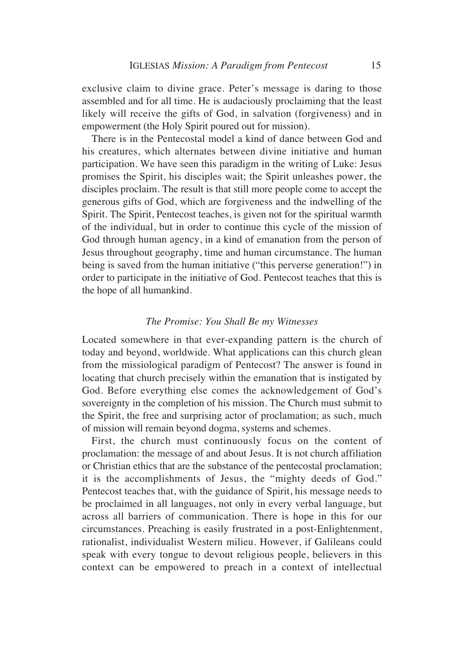exclusive claim to divine grace. Peter's message is daring to those assembled and for all time. He is audaciously proclaiming that the least likely will receive the gifts of God, in salvation (forgiveness) and in empowerment (the Holy Spirit poured out for mission).

There is in the Pentecostal model a kind of dance between God and his creatures, which alternates between divine initiative and human participation. We have seen this paradigm in the writing of Luke: Jesus promises the Spirit, his disciples wait; the Spirit unleashes power, the disciples proclaim. The result is that still more people come to accept the generous gifts of God, which are forgiveness and the indwelling of the Spirit. The Spirit, Pentecost teaches, is given not for the spiritual warmth of the individual, but in order to continue this cycle of the mission of God through human agency, in a kind of emanation from the person of Jesus throughout geography, time and human circumstance. The human being is saved from the human initiative ("this perverse generation!") in order to participate in the initiative of God. Pentecost teaches that this is the hope of all humankind.

## *The Promise: You Shall Be my Witnesses*

Located somewhere in that ever-expanding pattern is the church of today and beyond, worldwide. What applications can this church glean from the missiological paradigm of Pentecost? The answer is found in locating that church precisely within the emanation that is instigated by God. Before everything else comes the acknowledgement of God's sovereignty in the completion of his mission. The Church must submit to the Spirit, the free and surprising actor of proclamation; as such, much of mission will remain beyond dogma, systems and schemes.

First, the church must continuously focus on the content of proclamation: the message of and about Jesus. It is not church affiliation or Christian ethics that are the substance of the pentecostal proclamation; it is the accomplishments of Jesus, the "mighty deeds of God." Pentecost teaches that, with the guidance of Spirit, his message needs to be proclaimed in all languages, not only in every verbal language, but across all barriers of communication. There is hope in this for our circumstances. Preaching is easily frustrated in a post-Enlightenment, rationalist, individualist Western milieu. However, if Galileans could speak with every tongue to devout religious people, believers in this context can be empowered to preach in a context of intellectual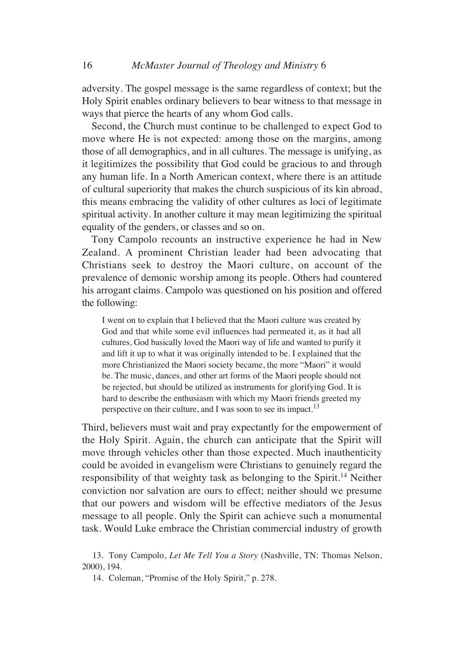adversity. The gospel message is the same regardless of context; but the Holy Spirit enables ordinary believers to bear witness to that message in ways that pierce the hearts of any whom God calls.

Second, the Church must continue to be challenged to expect God to move where He is not expected: among those on the margins, among those of all demographics, and in all cultures. The message is unifying, as it legitimizes the possibility that God could be gracious to and through any human life. In a North American context, where there is an attitude of cultural superiority that makes the church suspicious of its kin abroad, this means embracing the validity of other cultures as loci of legitimate spiritual activity. In another culture it may mean legitimizing the spiritual equality of the genders, or classes and so on.

Tony Campolo recounts an instructive experience he had in New Zealand. A prominent Christian leader had been advocating that Christians seek to destroy the Maori culture, on account of the prevalence of demonic worship among its people. Others had countered his arrogant claims. Campolo was questioned on his position and offered the following:

I went on to explain that I believed that the Maori culture was created by God and that while some evil influences had permeated it, as it had all cultures, God basically loved the Maori way of life and wanted to purify it and lift it up to what it was originally intended to be. I explained that the more Christianized the Maori society became, the more "Maori" it would be. The music, dances, and other art forms of the Maori people should not be rejected, but should be utilized as instruments for glorifying God. It is hard to describe the enthusiasm with which my Maori friends greeted my perspective on their culture, and I was soon to see its impact.<sup>13</sup>

Third, believers must wait and pray expectantly for the empowerment of the Holy Spirit. Again, the church can anticipate that the Spirit will move through vehicles other than those expected. Much inauthenticity could be avoided in evangelism were Christians to genuinely regard the responsibility of that weighty task as belonging to the Spirit.14 Neither conviction nor salvation are ours to effect; neither should we presume that our powers and wisdom will be effective mediators of the Jesus message to all people. Only the Spirit can achieve such a monumental task. Would Luke embrace the Christian commercial industry of growth

<sup>13.</sup> Tony Campolo, *Let Me Tell You a Story* (Nashville, TN: Thomas Nelson, 2000), 194.

<sup>14.</sup> Coleman, "Promise of the Holy Spirit," p. 278.